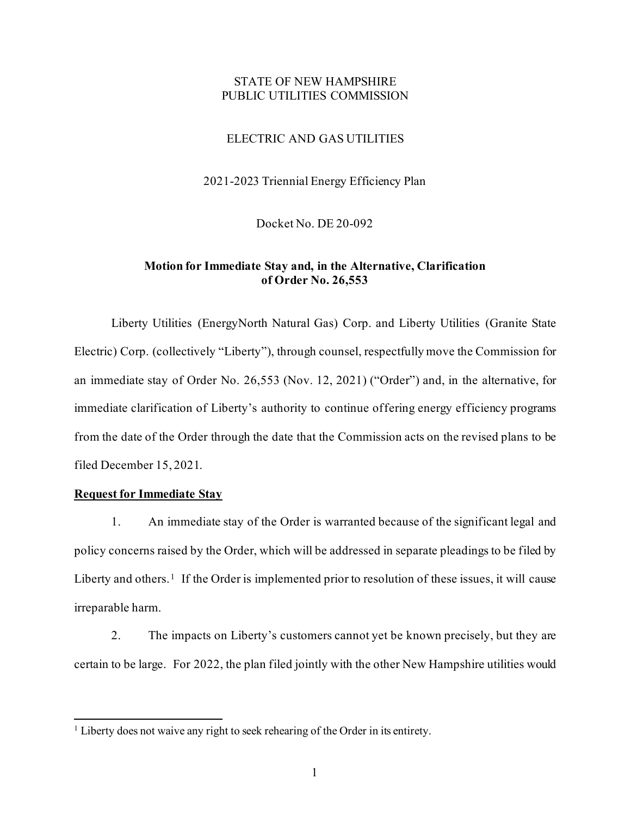# STATE OF NEW HAMPSHIRE PUBLIC UTILITIES COMMISSION

# ELECTRIC AND GAS UTILITIES

# 2021-2023 Triennial Energy Efficiency Plan

Docket No. DE 20-092

# **Motion for Immediate Stay and, in the Alternative, Clarification of Order No. 26,553**

Liberty Utilities (EnergyNorth Natural Gas) Corp. and Liberty Utilities (Granite State Electric) Corp. (collectively "Liberty"), through counsel, respectfully move the Commission for an immediate stay of Order No. 26,553 (Nov. 12, 2021) ("Order") and, in the alternative, for immediate clarification of Liberty's authority to continue offering energy efficiency programs from the date of the Order through the date that the Commission acts on the revised plans to be filed December 15, 2021.

#### **Request for Immediate Stay**

1. An immediate stay of the Order is warranted because of the significant legal and policy concerns raised by the Order, which will be addressed in separate pleadings to be filed by Liberty and others.<sup>1</sup> If the Order is implemented prior to resolution of these issues, it will cause irreparable harm.

2. The impacts on Liberty's customers cannot yet be known precisely, but they are certain to be large. For 2022, the plan filed jointly with the other New Hampshire utilities would

<span id="page-0-0"></span><sup>&</sup>lt;sup>1</sup> Liberty does not waive any right to seek rehearing of the Order in its entirety.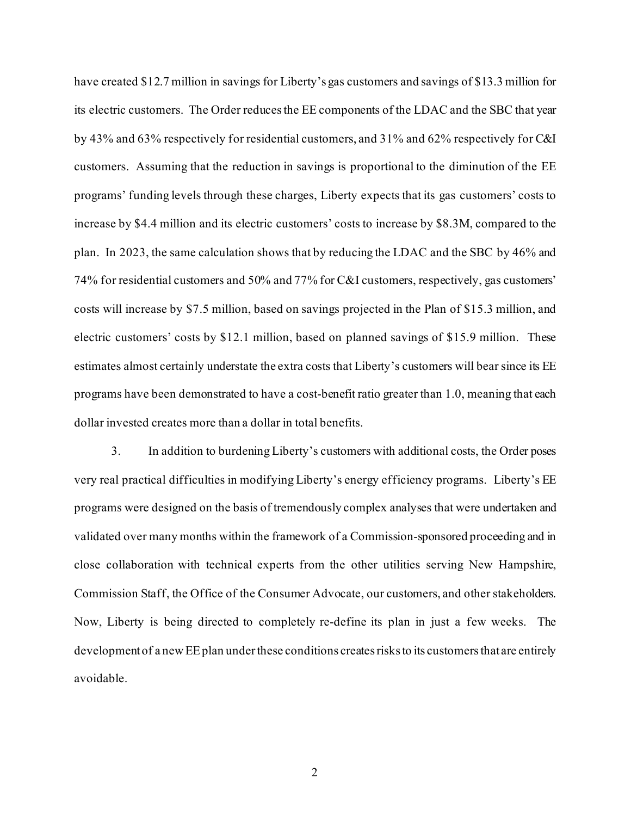have created \$12.7 million in savings for Liberty's gas customers and savings of \$13.3 million for its electric customers. The Order reduces the EE components of the LDAC and the SBC that year by 43% and 63% respectively for residential customers, and 31% and 62% respectively for C&I customers. Assuming that the reduction in savings is proportional to the diminution of the EE programs' funding levels through these charges, Liberty expects that its gas customers' costs to increase by \$4.4 million and its electric customers' costs to increase by \$8.3M, compared to the plan. In 2023, the same calculation shows that by reducing the LDAC and the SBC by 46% and 74% for residential customers and 50% and 77% for C&I customers, respectively, gas customers' costs will increase by \$7.5 million, based on savings projected in the Plan of \$15.3 million, and electric customers' costs by \$12.1 million, based on planned savings of \$15.9 million. These estimates almost certainly understate the extra costs that Liberty's customers will bear since its EE programs have been demonstrated to have a cost-benefit ratio greater than 1.0, meaning that each dollar invested creates more than a dollar in total benefits.

3. In addition to burdening Liberty's customers with additional costs, the Order poses very real practical difficulties in modifying Liberty's energy efficiency programs. Liberty's EE programs were designed on the basis of tremendously complex analyses that were undertaken and validated over many months within the framework of a Commission-sponsored proceeding and in close collaboration with technical experts from the other utilities serving New Hampshire, Commission Staff, the Office of the Consumer Advocate, our customers, and other stakeholders. Now, Liberty is being directed to completely re-define its plan in just a few weeks. The development of a new EE plan under these conditions creates risks to its customers that are entirely avoidable.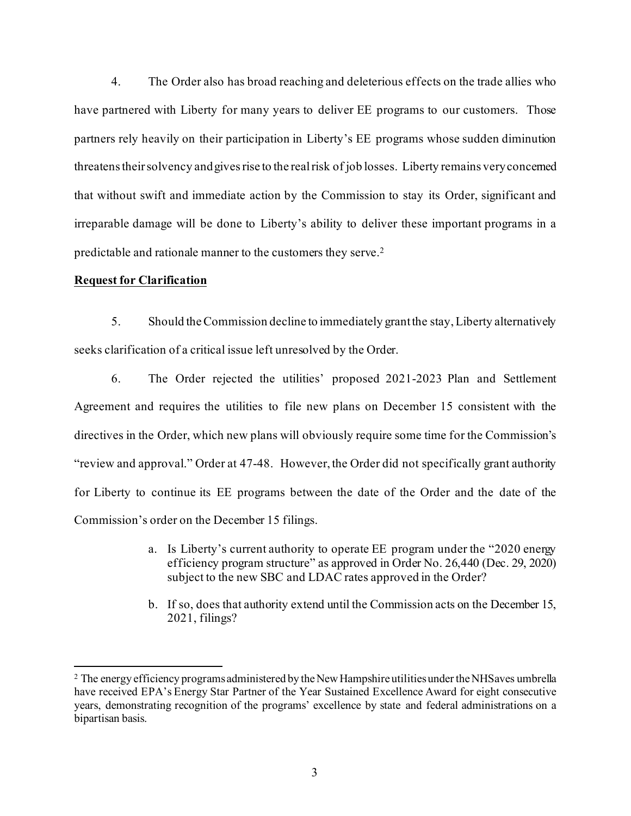4. The Order also has broad reaching and deleterious effects on the trade allies who have partnered with Liberty for many years to deliver EE programs to our customers. Those partners rely heavily on their participation in Liberty's EE programs whose sudden diminution threatens their solvency and gives rise to the real risk of job losses. Liberty remains very concerned that without swift and immediate action by the Commission to stay its Order, significant and irreparable damage will be done to Liberty's ability to deliver these important programs in a predictable and rationale manner to the customers they serve.[2](#page-2-0)

#### **Request for Clarification**

5. Should the Commission decline to immediately grant the stay, Liberty alternatively seeks clarification of a critical issue left unresolved by the Order.

6. The Order rejected the utilities' proposed 2021-2023 Plan and Settlement Agreement and requires the utilities to file new plans on December 15 consistent with the directives in the Order, which new plans will obviously require some time for the Commission's "review and approval." Order at 47-48. However, the Order did not specifically grant authority for Liberty to continue its EE programs between the date of the Order and the date of the Commission's order on the December 15 filings.

- a. Is Liberty's current authority to operate EE program under the "2020 energy efficiency program structure" as approved in Order No. 26,440 (Dec. 29, 2020) subject to the new SBC and LDAC rates approved in the Order?
- b. If so, does that authority extend until the Commission acts on the December 15, 2021, filings?

<span id="page-2-0"></span><sup>2</sup> The energy efficiency programs administered by the New Hampshire utilities under the NHSaves umbrella have received EPA's Energy Star Partner of the Year Sustained Excellence Award for eight consecutive years, demonstrating recognition of the programs' excellence by state and federal administrations on a bipartisan basis.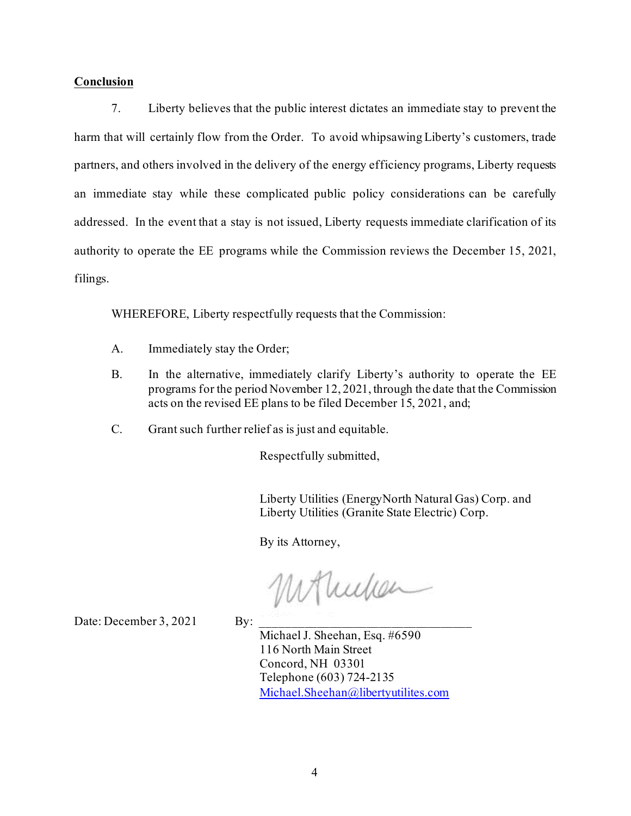# **Conclusion**

7. Liberty believes that the public interest dictates an immediate stay to prevent the harm that will certainly flow from the Order. To avoid whipsawing Liberty's customers, trade partners, and others involved in the delivery of the energy efficiency programs, Liberty requests an immediate stay while these complicated public policy considerations can be carefully addressed. In the event that a stay is not issued, Liberty requests immediate clarification of its authority to operate the EE programs while the Commission reviews the December 15, 2021, filings.

WHEREFORE, Liberty respectfully requests that the Commission:

- A. Immediately stay the Order;
- B. In the alternative, immediately clarify Liberty's authority to operate the EE programs for the period November 12, 2021, through the date that the Commission acts on the revised EE plans to be filed December 15, 2021, and;
- C. Grant such further relief as is just and equitable.

Respectfully submitted,

Liberty Utilities (EnergyNorth Natural Gas) Corp. and Liberty Utilities (Granite State Electric) Corp.

By its Attorney,

Mullen

Date: December 3, 2021 By:

Michael J. Sheehan, Esq. #6590 116 North Main Street Concord, NH 03301 Telephone (603) 724-2135 [Michael.Sheehan@libertyutilites.com](mailto:Michael.Sheehan@libertyutilites.com)